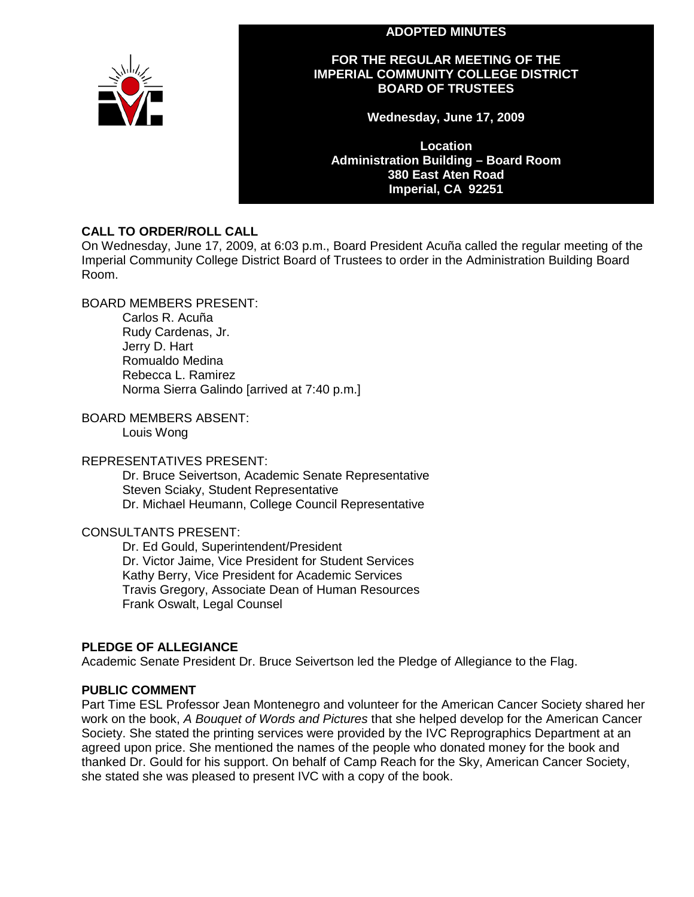### **ADOPTED MINUTES**



### **FOR THE REGULAR MEETING OF THE IMPERIAL COMMUNITY COLLEGE DISTRICT BOARD OF TRUSTEES**

**Wednesday, June 17, 2009**

**Location Administration Building – Board Room 380 East Aten Road Imperial, CA 92251**

# **CALL TO ORDER/ROLL CALL**

On Wednesday, June 17, 2009, at 6:03 p.m., Board President Acuña called the regular meeting of the Imperial Community College District Board of Trustees to order in the Administration Building Board Room.

BOARD MEMBERS PRESENT:

Carlos R. Acuña Rudy Cardenas, Jr. Jerry D. Hart Romualdo Medina Rebecca L. Ramirez Norma Sierra Galindo [arrived at 7:40 p.m.]

# BOARD MEMBERS ABSENT:

Louis Wong

# REPRESENTATIVES PRESENT:

Dr. Bruce Seivertson, Academic Senate Representative Steven Sciaky, Student Representative Dr. Michael Heumann, College Council Representative

# CONSULTANTS PRESENT:

Dr. Ed Gould, Superintendent/President Dr. Victor Jaime, Vice President for Student Services Kathy Berry, Vice President for Academic Services Travis Gregory, Associate Dean of Human Resources Frank Oswalt, Legal Counsel

# **PLEDGE OF ALLEGIANCE**

Academic Senate President Dr. Bruce Seivertson led the Pledge of Allegiance to the Flag.

# **PUBLIC COMMENT**

Part Time ESL Professor Jean Montenegro and volunteer for the American Cancer Society shared her work on the book, *A Bouquet of Words and Pictures* that she helped develop for the American Cancer Society. She stated the printing services were provided by the IVC Reprographics Department at an agreed upon price. She mentioned the names of the people who donated money for the book and thanked Dr. Gould for his support. On behalf of Camp Reach for the Sky, American Cancer Society, she stated she was pleased to present IVC with a copy of the book.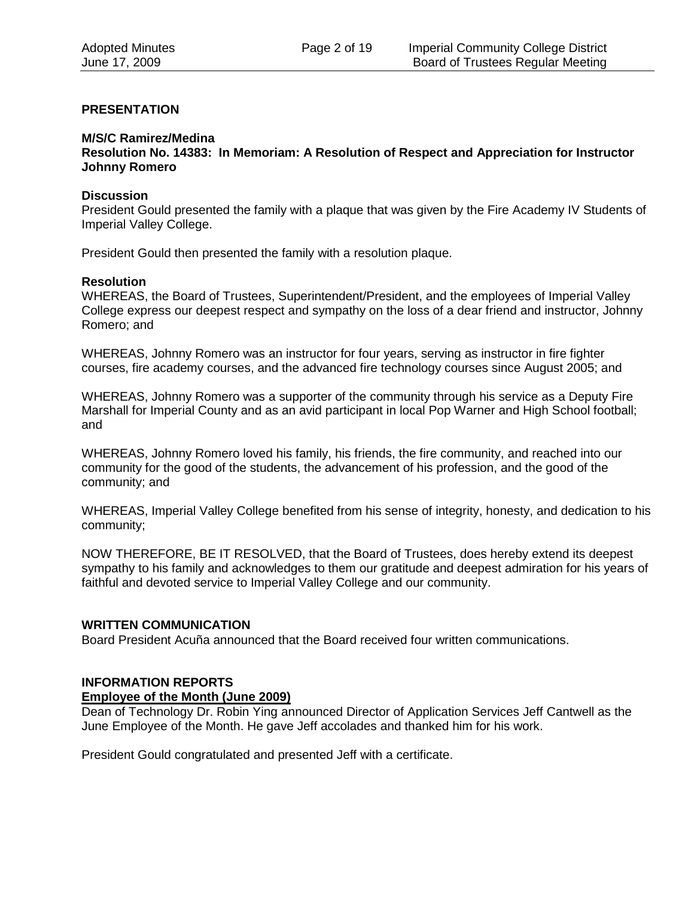#### **PRESENTATION**

#### **M/S/C Ramirez/Medina**

**Resolution No. 14383: In Memoriam: A Resolution of Respect and Appreciation for Instructor Johnny Romero** 

#### **Discussion**

President Gould presented the family with a plaque that was given by the Fire Academy IV Students of Imperial Valley College.

President Gould then presented the family with a resolution plaque.

#### **Resolution**

WHEREAS, the Board of Trustees, Superintendent/President, and the employees of Imperial Valley College express our deepest respect and sympathy on the loss of a dear friend and instructor, Johnny Romero; and

WHEREAS, Johnny Romero was an instructor for four years, serving as instructor in fire fighter courses, fire academy courses, and the advanced fire technology courses since August 2005; and

WHEREAS, Johnny Romero was a supporter of the community through his service as a Deputy Fire Marshall for Imperial County and as an avid participant in local Pop Warner and High School football; and

WHEREAS, Johnny Romero loved his family, his friends, the fire community, and reached into our community for the good of the students, the advancement of his profession, and the good of the community; and

WHEREAS, Imperial Valley College benefited from his sense of integrity, honesty, and dedication to his community;

NOW THEREFORE, BE IT RESOLVED, that the Board of Trustees, does hereby extend its deepest sympathy to his family and acknowledges to them our gratitude and deepest admiration for his years of faithful and devoted service to Imperial Valley College and our community.

#### **WRITTEN COMMUNICATION**

Board President Acuña announced that the Board received four written communications.

#### **INFORMATION REPORTS**

#### **Employee of the Month (June 2009)**

Dean of Technology Dr. Robin Ying announced Director of Application Services Jeff Cantwell as the June Employee of the Month. He gave Jeff accolades and thanked him for his work.

President Gould congratulated and presented Jeff with a certificate.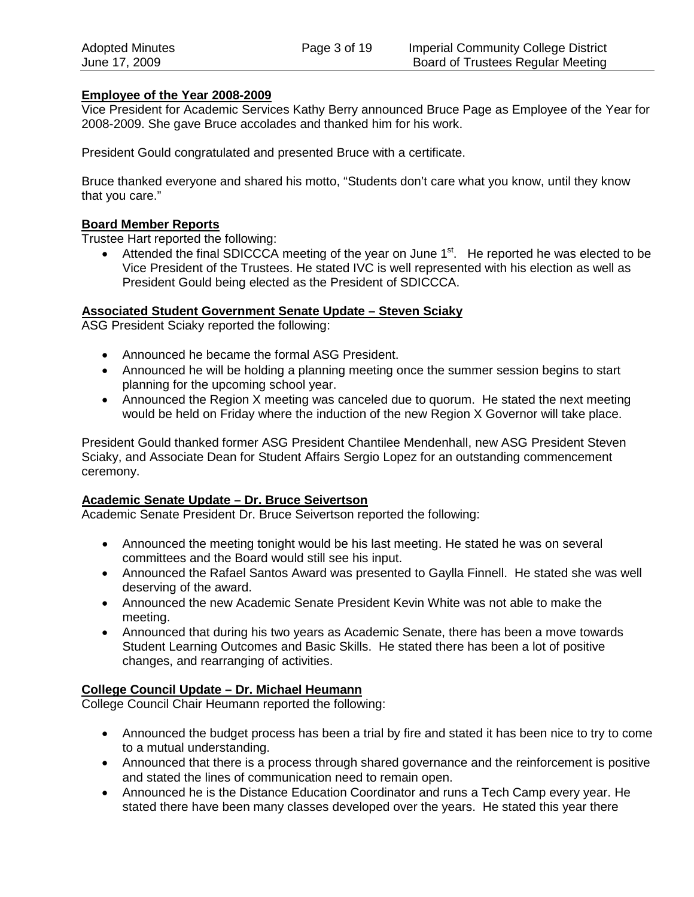### **Employee of the Year 2008-2009**

Vice President for Academic Services Kathy Berry announced Bruce Page as Employee of the Year for 2008-2009. She gave Bruce accolades and thanked him for his work.

President Gould congratulated and presented Bruce with a certificate.

Bruce thanked everyone and shared his motto, "Students don't care what you know, until they know that you care."

# **Board Member Reports**

Trustee Hart reported the following:

• Attended the final SDICCCA meeting of the year on June  $1<sup>st</sup>$ . He reported he was elected to be Vice President of the Trustees. He stated IVC is well represented with his election as well as President Gould being elected as the President of SDICCCA.

### **Associated Student Government Senate Update – Steven Sciaky**

ASG President Sciaky reported the following:

- Announced he became the formal ASG President.
- Announced he will be holding a planning meeting once the summer session begins to start planning for the upcoming school year.
- Announced the Region X meeting was canceled due to quorum. He stated the next meeting would be held on Friday where the induction of the new Region X Governor will take place.

President Gould thanked former ASG President Chantilee Mendenhall, new ASG President Steven Sciaky, and Associate Dean for Student Affairs Sergio Lopez for an outstanding commencement ceremony.

#### **Academic Senate Update – Dr. Bruce Seivertson**

Academic Senate President Dr. Bruce Seivertson reported the following:

- Announced the meeting tonight would be his last meeting. He stated he was on several committees and the Board would still see his input.
- Announced the Rafael Santos Award was presented to Gaylla Finnell. He stated she was well deserving of the award.
- Announced the new Academic Senate President Kevin White was not able to make the meeting.
- Announced that during his two years as Academic Senate, there has been a move towards Student Learning Outcomes and Basic Skills. He stated there has been a lot of positive changes, and rearranging of activities.

#### **College Council Update – Dr. Michael Heumann**

College Council Chair Heumann reported the following:

- Announced the budget process has been a trial by fire and stated it has been nice to try to come to a mutual understanding.
- Announced that there is a process through shared governance and the reinforcement is positive and stated the lines of communication need to remain open.
- Announced he is the Distance Education Coordinator and runs a Tech Camp every year. He stated there have been many classes developed over the years. He stated this year there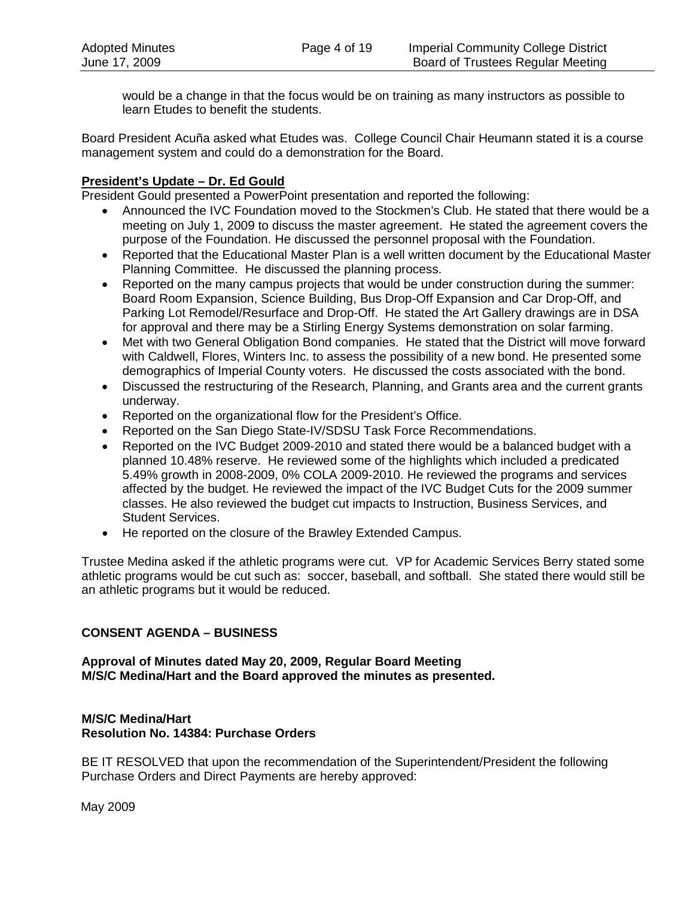would be a change in that the focus would be on training as many instructors as possible to learn Etudes to benefit the students.

Board President Acuña asked what Etudes was. College Council Chair Heumann stated it is a course management system and could do a demonstration for the Board.

# **President's Update – Dr. Ed Gould**

President Gould presented a PowerPoint presentation and reported the following:

- Announced the IVC Foundation moved to the Stockmen's Club. He stated that there would be a meeting on July 1, 2009 to discuss the master agreement. He stated the agreement covers the purpose of the Foundation. He discussed the personnel proposal with the Foundation.
- Reported that the Educational Master Plan is a well written document by the Educational Master Planning Committee. He discussed the planning process.
- Reported on the many campus projects that would be under construction during the summer: Board Room Expansion, Science Building, Bus Drop-Off Expansion and Car Drop-Off, and Parking Lot Remodel/Resurface and Drop-Off. He stated the Art Gallery drawings are in DSA for approval and there may be a Stirling Energy Systems demonstration on solar farming.
- Met with two General Obligation Bond companies. He stated that the District will move forward with Caldwell, Flores, Winters Inc. to assess the possibility of a new bond. He presented some demographics of Imperial County voters. He discussed the costs associated with the bond.
- Discussed the restructuring of the Research, Planning, and Grants area and the current grants underway.
- Reported on the organizational flow for the President's Office.
- Reported on the San Diego State-IV/SDSU Task Force Recommendations.
- Reported on the IVC Budget 2009-2010 and stated there would be a balanced budget with a planned 10.48% reserve. He reviewed some of the highlights which included a predicated 5.49% growth in 2008-2009, 0% COLA 2009-2010. He reviewed the programs and services affected by the budget. He reviewed the impact of the IVC Budget Cuts for the 2009 summer classes. He also reviewed the budget cut impacts to Instruction, Business Services, and Student Services.
- He reported on the closure of the Brawley Extended Campus.

Trustee Medina asked if the athletic programs were cut. VP for Academic Services Berry stated some athletic programs would be cut such as: soccer, baseball, and softball. She stated there would still be an athletic programs but it would be reduced.

#### **CONSENT AGENDA – BUSINESS**

**Approval of Minutes dated May 20, 2009, Regular Board Meeting M/S/C Medina/Hart and the Board approved the minutes as presented.**

# **M/S/C Medina/Hart Resolution No. 14384: Purchase Orders**

BE IT RESOLVED that upon the recommendation of the Superintendent/President the following Purchase Orders and Direct Payments are hereby approved:

May 2009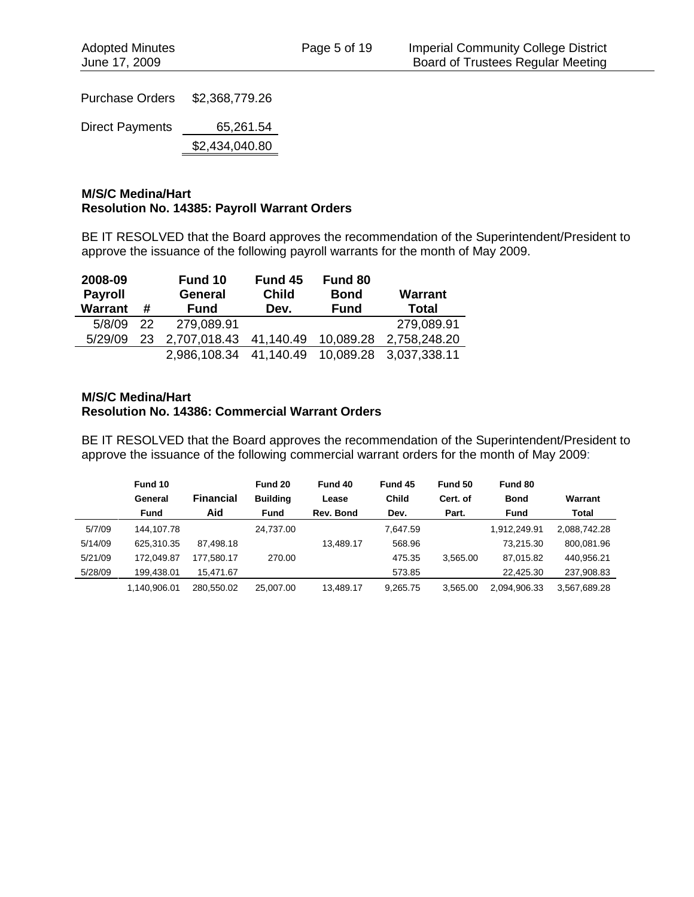Purchase Orders \$2,368,779.26

Direct Payments 65,261.54

\$2,434,040.80

# **M/S/C Medina/Hart Resolution No. 14385: Payroll Warrant Orders**

BE IT RESOLVED that the Board approves the recommendation of the Superintendent/President to approve the issuance of the following payroll warrants for the month of May 2009.

| 2008-09        |    | Fund 10        | Fund 45      | Fund 80     |                |
|----------------|----|----------------|--------------|-------------|----------------|
| <b>Payroll</b> |    | <b>General</b> | <b>Child</b> | <b>Bond</b> | <b>Warrant</b> |
| <b>Warrant</b> | #  | <b>Fund</b>    | Dev.         | <b>Fund</b> | <b>Total</b>   |
| 5/8/09         | 22 | 279,089.91     |              |             | 279,089.91     |
| 5/29/09        | 23 | 2,707,018.43   | 41,140.49    | 10,089.28   | 2,758,248.20   |
|                |    | 2,986,108.34   | 41,140.49    | 10,089.28   | 3,037,338.11   |

### **M/S/C Medina/Hart Resolution No. 14386: Commercial Warrant Orders**

BE IT RESOLVED that the Board approves the recommendation of the Superintendent/President to approve the issuance of the following commercial warrant orders for the month of May 2009:

|         | Fund 10<br>General | <b>Financial</b> | Fund 20<br><b>Building</b> | Fund 40<br>Lease | Fund 45<br><b>Child</b> | Fund 50<br>Cert. of | Fund 80<br><b>Bond</b> | Warrant      |
|---------|--------------------|------------------|----------------------------|------------------|-------------------------|---------------------|------------------------|--------------|
|         | <b>Fund</b>        | Aid              | Fund                       | Rev. Bond        | Dev.                    | Part.               | <b>Fund</b>            | <b>Total</b> |
| 5/7/09  | 144.107.78         |                  | 24.737.00                  |                  | 7.647.59                |                     | 1.912.249.91           | 2,088,742.28 |
| 5/14/09 | 625.310.35         | 87.498.18        |                            | 13.489.17        | 568.96                  |                     | 73.215.30              | 800,081.96   |
| 5/21/09 | 172.049.87         | 177.580.17       | 270.00                     |                  | 475.35                  | 3.565.00            | 87.015.82              | 440.956.21   |
| 5/28/09 | 199.438.01         | 15.471.67        |                            |                  | 573.85                  |                     | 22.425.30              | 237,908.83   |
|         | 1.140.906.01       | 280.550.02       | 25.007.00                  | 13.489.17        | 9.265.75                | 3.565.00            | 2,094,906.33           | 3,567,689.28 |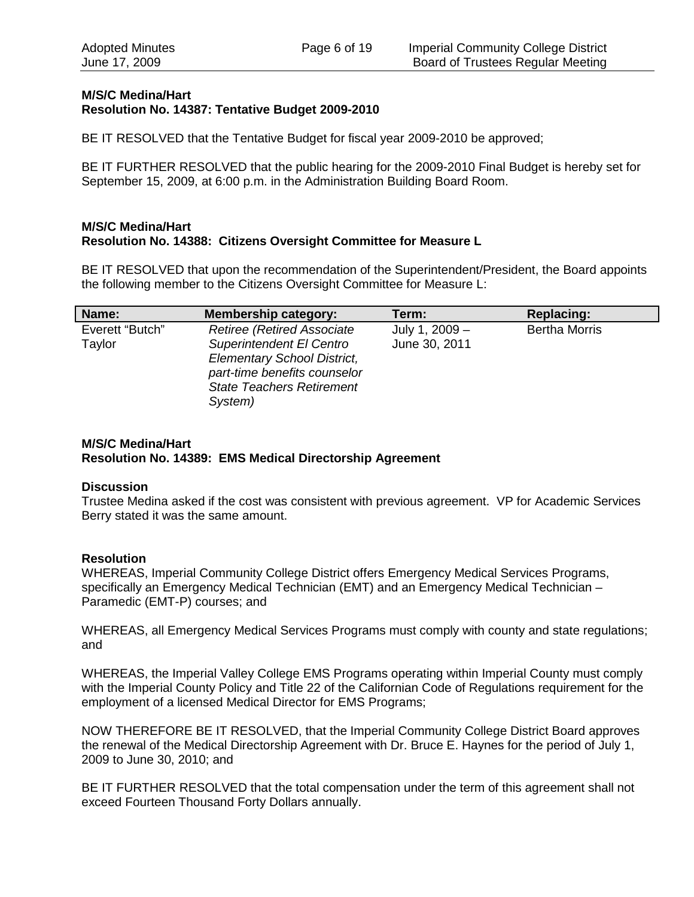# **M/S/C Medina/Hart Resolution No. 14387: Tentative Budget 2009-2010**

BE IT RESOLVED that the Tentative Budget for fiscal year 2009-2010 be approved;

BE IT FURTHER RESOLVED that the public hearing for the 2009-2010 Final Budget is hereby set for September 15, 2009, at 6:00 p.m. in the Administration Building Board Room.

#### **M/S/C Medina/Hart Resolution No. 14388: Citizens Oversight Committee for Measure L**

BE IT RESOLVED that upon the recommendation of the Superintendent/President, the Board appoints the following member to the Citizens Oversight Committee for Measure L:

| Name:                     | Membership category:                                                                                                                                                                | Term:                           | <b>Replacing:</b>    |
|---------------------------|-------------------------------------------------------------------------------------------------------------------------------------------------------------------------------------|---------------------------------|----------------------|
| Everett "Butch"<br>Taylor | <b>Retiree (Retired Associate)</b><br>Superintendent El Centro<br><b>Elementary School District,</b><br>part-time benefits counselor<br><b>State Teachers Retirement</b><br>System) | July 1, 2009 -<br>June 30, 2011 | <b>Bertha Morris</b> |

### **M/S/C Medina/Hart Resolution No. 14389: EMS Medical Directorship Agreement**

#### **Discussion**

Trustee Medina asked if the cost was consistent with previous agreement. VP for Academic Services Berry stated it was the same amount.

# **Resolution**

WHEREAS, Imperial Community College District offers Emergency Medical Services Programs, specifically an Emergency Medical Technician (EMT) and an Emergency Medical Technician – Paramedic (EMT-P) courses; and

WHEREAS, all Emergency Medical Services Programs must comply with county and state regulations; and

WHEREAS, the Imperial Valley College EMS Programs operating within Imperial County must comply with the Imperial County Policy and Title 22 of the Californian Code of Regulations requirement for the employment of a licensed Medical Director for EMS Programs;

NOW THEREFORE BE IT RESOLVED, that the Imperial Community College District Board approves the renewal of the Medical Directorship Agreement with Dr. Bruce E. Haynes for the period of July 1, 2009 to June 30, 2010; and

BE IT FURTHER RESOLVED that the total compensation under the term of this agreement shall not exceed Fourteen Thousand Forty Dollars annually.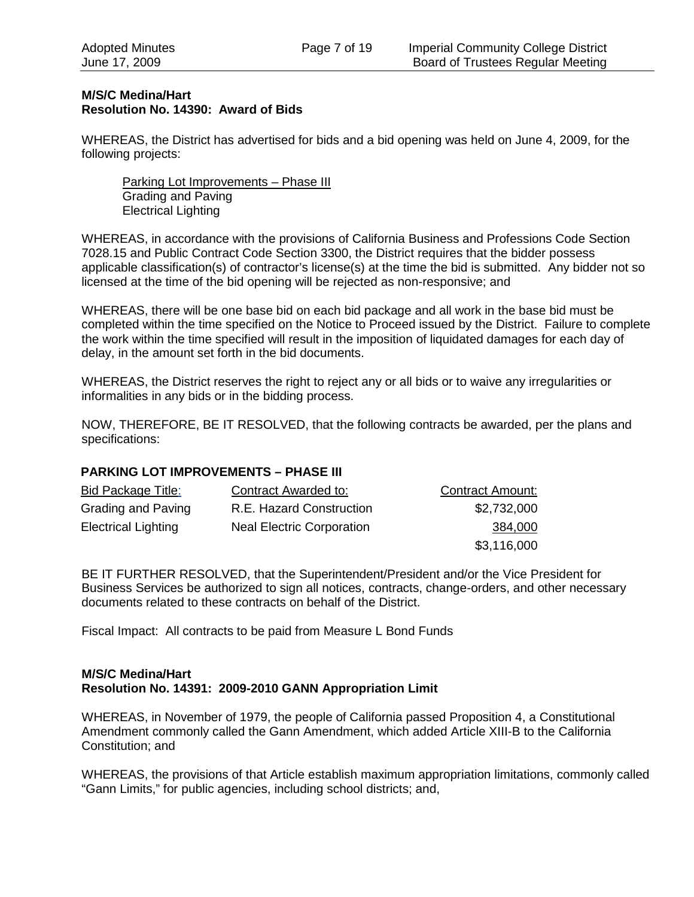### **M/S/C Medina/Hart Resolution No. 14390: Award of Bids**

WHEREAS, the District has advertised for bids and a bid opening was held on June 4, 2009, for the following projects:

Parking Lot Improvements – Phase III Grading and Paving Electrical Lighting

WHEREAS, in accordance with the provisions of California Business and Professions Code Section 7028.15 and Public Contract Code Section 3300, the District requires that the bidder possess applicable classification(s) of contractor's license(s) at the time the bid is submitted. Any bidder not so licensed at the time of the bid opening will be rejected as non-responsive; and

WHEREAS, there will be one base bid on each bid package and all work in the base bid must be completed within the time specified on the Notice to Proceed issued by the District. Failure to complete the work within the time specified will result in the imposition of liquidated damages for each day of delay, in the amount set forth in the bid documents.

WHEREAS, the District reserves the right to reject any or all bids or to waive any irregularities or informalities in any bids or in the bidding process.

NOW, THEREFORE, BE IT RESOLVED, that the following contracts be awarded, per the plans and specifications:

# **PARKING LOT IMPROVEMENTS – PHASE III**

| Bid Package Title:         | Contract Awarded to:             | <b>Contract Amount:</b> |
|----------------------------|----------------------------------|-------------------------|
| Grading and Paving         | R.E. Hazard Construction         | \$2,732,000             |
| <b>Electrical Lighting</b> | <b>Neal Electric Corporation</b> | 384,000                 |
|                            |                                  | \$3,116,000             |

BE IT FURTHER RESOLVED, that the Superintendent/President and/or the Vice President for Business Services be authorized to sign all notices, contracts, change-orders, and other necessary documents related to these contracts on behalf of the District.

Fiscal Impact: All contracts to be paid from Measure L Bond Funds

#### **M/S/C Medina/Hart Resolution No. 14391: 2009-2010 GANN Appropriation Limit**

WHEREAS, in November of 1979, the people of California passed Proposition 4, a Constitutional Amendment commonly called the Gann Amendment, which added Article XIII-B to the California Constitution; and

WHEREAS, the provisions of that Article establish maximum appropriation limitations, commonly called "Gann Limits," for public agencies, including school districts; and,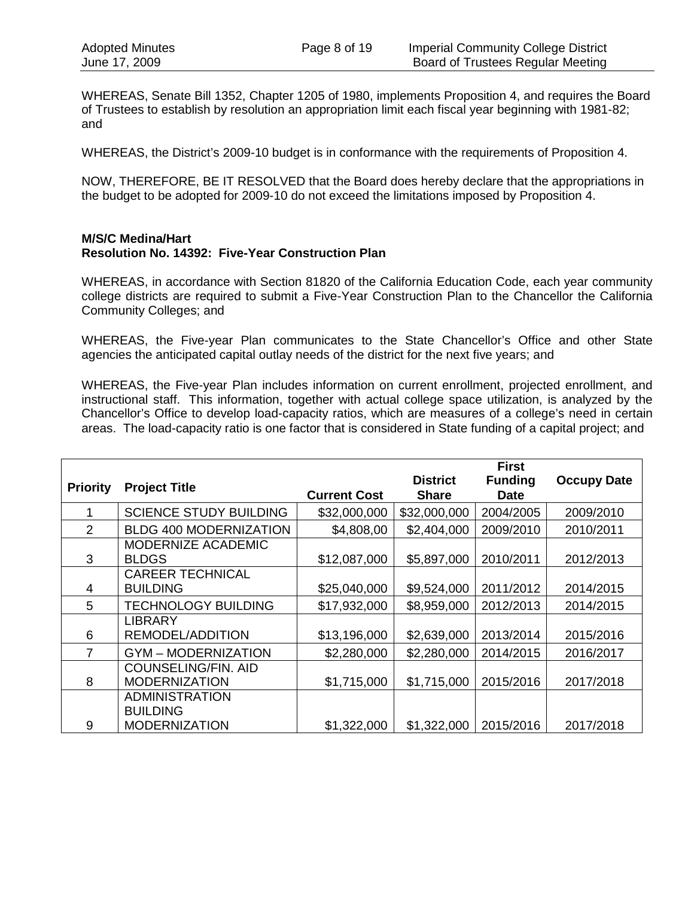WHEREAS, Senate Bill 1352, Chapter 1205 of 1980, implements Proposition 4, and requires the Board of Trustees to establish by resolution an appropriation limit each fiscal year beginning with 1981-82; and

WHEREAS, the District's 2009-10 budget is in conformance with the requirements of Proposition 4.

NOW, THEREFORE, BE IT RESOLVED that the Board does hereby declare that the appropriations in the budget to be adopted for 2009-10 do not exceed the limitations imposed by Proposition 4.

#### **M/S/C Medina/Hart Resolution No. 14392: Five-Year Construction Plan**

WHEREAS, in accordance with Section 81820 of the California Education Code, each year community college districts are required to submit a Five-Year Construction Plan to the Chancellor the California Community Colleges; and

WHEREAS, the Five-year Plan communicates to the State Chancellor's Office and other State agencies the anticipated capital outlay needs of the district for the next five years; and

WHEREAS, the Five-year Plan includes information on current enrollment, projected enrollment, and instructional staff. This information, together with actual college space utilization, is analyzed by the Chancellor's Office to develop load-capacity ratios, which are measures of a college's need in certain areas. The load-capacity ratio is one factor that is considered in State funding of a capital project; and

|                 |                                                    |                     |                                 | <b>First</b>                  |                    |
|-----------------|----------------------------------------------------|---------------------|---------------------------------|-------------------------------|--------------------|
| <b>Priority</b> | <b>Project Title</b>                               | <b>Current Cost</b> | <b>District</b><br><b>Share</b> | <b>Funding</b><br><b>Date</b> | <b>Occupy Date</b> |
|                 | <b>SCIENCE STUDY BUILDING</b>                      | \$32,000,000        | \$32,000,000                    | 2004/2005                     | 2009/2010          |
| $\overline{2}$  | <b>BLDG 400 MODERNIZATION</b>                      | \$4,808,00          | \$2,404,000                     | 2009/2010                     | 2010/2011          |
| 3               | MODERNIZE ACADEMIC<br><b>BLDGS</b>                 | \$12,087,000        | \$5,897,000                     | 2010/2011                     | 2012/2013          |
| 4               | <b>CAREER TECHNICAL</b><br><b>BUILDING</b>         | \$25,040,000        | \$9,524,000                     | 2011/2012                     | 2014/2015          |
| 5               | <b>TECHNOLOGY BUILDING</b>                         | \$17,932,000        | \$8,959,000                     | 2012/2013                     | 2014/2015          |
| 6               | <b>LIBRARY</b><br>REMODEL/ADDITION                 | \$13,196,000        | \$2,639,000                     | 2013/2014                     | 2015/2016          |
| 7               | <b>GYM-MODERNIZATION</b>                           | \$2,280,000         | \$2,280,000                     | 2014/2015                     | 2016/2017          |
| 8               | <b>COUNSELING/FIN. AID</b><br><b>MODERNIZATION</b> | \$1,715,000         | \$1,715,000                     | 2015/2016                     | 2017/2018          |
|                 | <b>ADMINISTRATION</b><br><b>BUILDING</b>           |                     |                                 |                               |                    |
| 9               | <b>MODERNIZATION</b>                               | \$1,322,000         | \$1,322,000                     | 2015/2016                     | 2017/2018          |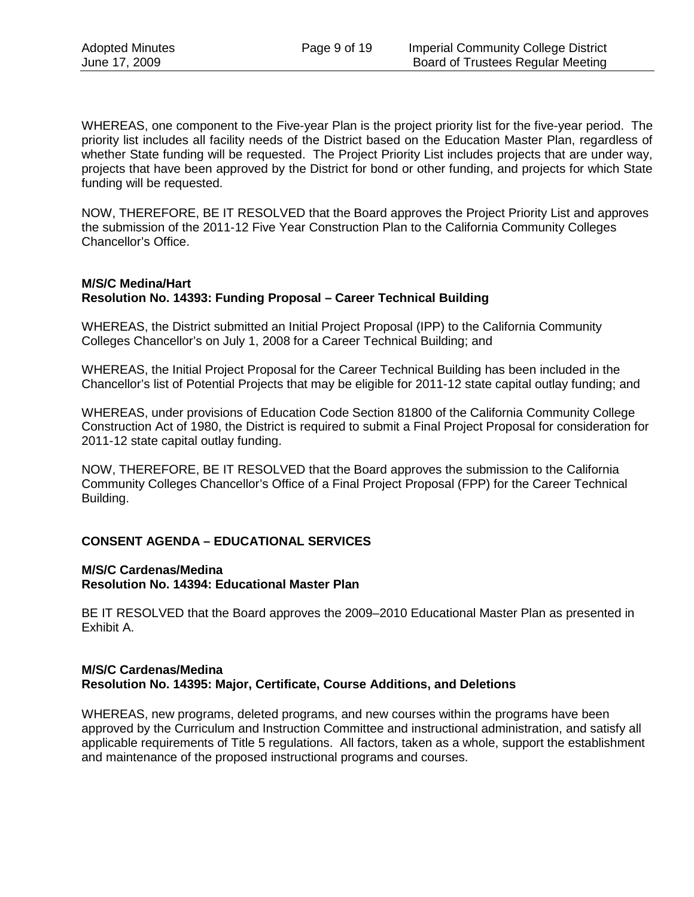WHEREAS, one component to the Five-year Plan is the project priority list for the five-year period. The priority list includes all facility needs of the District based on the Education Master Plan, regardless of whether State funding will be requested. The Project Priority List includes projects that are under way, projects that have been approved by the District for bond or other funding, and projects for which State funding will be requested.

NOW, THEREFORE, BE IT RESOLVED that the Board approves the Project Priority List and approves the submission of the 2011-12 Five Year Construction Plan to the California Community Colleges Chancellor's Office.

### **M/S/C Medina/Hart Resolution No. 14393: Funding Proposal – Career Technical Building**

WHEREAS, the District submitted an Initial Project Proposal (IPP) to the California Community Colleges Chancellor's on July 1, 2008 for a Career Technical Building; and

WHEREAS, the Initial Project Proposal for the Career Technical Building has been included in the Chancellor's list of Potential Projects that may be eligible for 2011-12 state capital outlay funding; and

WHEREAS, under provisions of Education Code Section 81800 of the California Community College Construction Act of 1980, the District is required to submit a Final Project Proposal for consideration for 2011-12 state capital outlay funding.

NOW, THEREFORE, BE IT RESOLVED that the Board approves the submission to the California Community Colleges Chancellor's Office of a Final Project Proposal (FPP) for the Career Technical Building.

# **CONSENT AGENDA – EDUCATIONAL SERVICES**

#### **M/S/C Cardenas/Medina Resolution No. 14394: Educational Master Plan**

BE IT RESOLVED that the Board approves the 2009–2010 Educational Master Plan as presented in Exhibit A.

### **M/S/C Cardenas/Medina Resolution No. 14395: Major, Certificate, Course Additions, and Deletions**

WHEREAS, new programs, deleted programs, and new courses within the programs have been approved by the Curriculum and Instruction Committee and instructional administration, and satisfy all applicable requirements of Title 5 regulations. All factors, taken as a whole, support the establishment and maintenance of the proposed instructional programs and courses.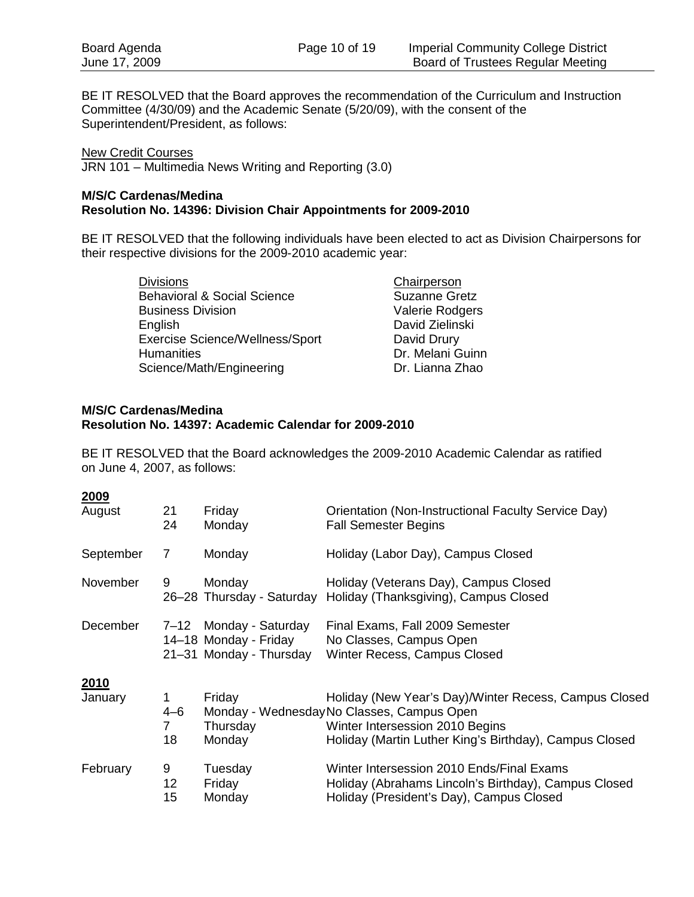BE IT RESOLVED that the Board approves the recommendation of the Curriculum and Instruction Committee (4/30/09) and the Academic Senate (5/20/09), with the consent of the Superintendent/President, as follows:

JRN 101 – Multimedia News Writing and Reporting (3.0) New Credit Courses

#### **M/S/C Cardenas/Medina Resolution No. 14396: Division Chair Appointments for 2009-2010**

BE IT RESOLVED that the following individuals have been elected to act as Division Chairpersons for their respective divisions for the 2009-2010 academic year:

| <b>Divisions</b>                       | Chairperson          |
|----------------------------------------|----------------------|
| <b>Behavioral &amp; Social Science</b> | <b>Suzanne Gretz</b> |
| <b>Business Division</b>               | Valerie Rodgers      |
| English                                | David Zielinski      |
| <b>Exercise Science/Wellness/Sport</b> | David Drury          |
| <b>Humanities</b>                      | Dr. Melani Guinn     |
| Science/Math/Engineering               | Dr. Lianna Zhao      |

#### **M/S/C Cardenas/Medina Resolution No. 14397: Academic Calendar for 2009-2010**

BE IT RESOLVED that the Board acknowledges the 2009-2010 Academic Calendar as ratified on June 4, 2007, as follows:

#### **2009**

| August          | 21<br>24                | Friday<br>Monday                                                           | Orientation (Non-Instructional Faculty Service Day)<br><b>Fall Semester Begins</b>                                                                                                               |
|-----------------|-------------------------|----------------------------------------------------------------------------|--------------------------------------------------------------------------------------------------------------------------------------------------------------------------------------------------|
| September       | 7                       | Monday                                                                     | Holiday (Labor Day), Campus Closed                                                                                                                                                               |
| November        | 9                       | Monday                                                                     | Holiday (Veterans Day), Campus Closed<br>26–28 Thursday - Saturday Holiday (Thanksgiving), Campus Closed                                                                                         |
| December        |                         | 7-12 Monday - Saturday<br>14–18 Monday - Friday<br>21–31 Monday - Thursday | Final Exams, Fall 2009 Semester<br>No Classes, Campus Open<br>Winter Recess, Campus Closed                                                                                                       |
| 2010<br>January | 1<br>$4 - 6$<br>7<br>18 | Friday<br>Thursday<br>Monday                                               | Holiday (New Year's Day)/Winter Recess, Campus Closed<br>Monday - Wednesday No Classes, Campus Open<br>Winter Intersession 2010 Begins<br>Holiday (Martin Luther King's Birthday), Campus Closed |
| February        | 9<br>12<br>15           | Tuesday<br>Friday<br>Monday                                                | Winter Intersession 2010 Ends/Final Exams<br>Holiday (Abrahams Lincoln's Birthday), Campus Closed<br>Holiday (President's Day), Campus Closed                                                    |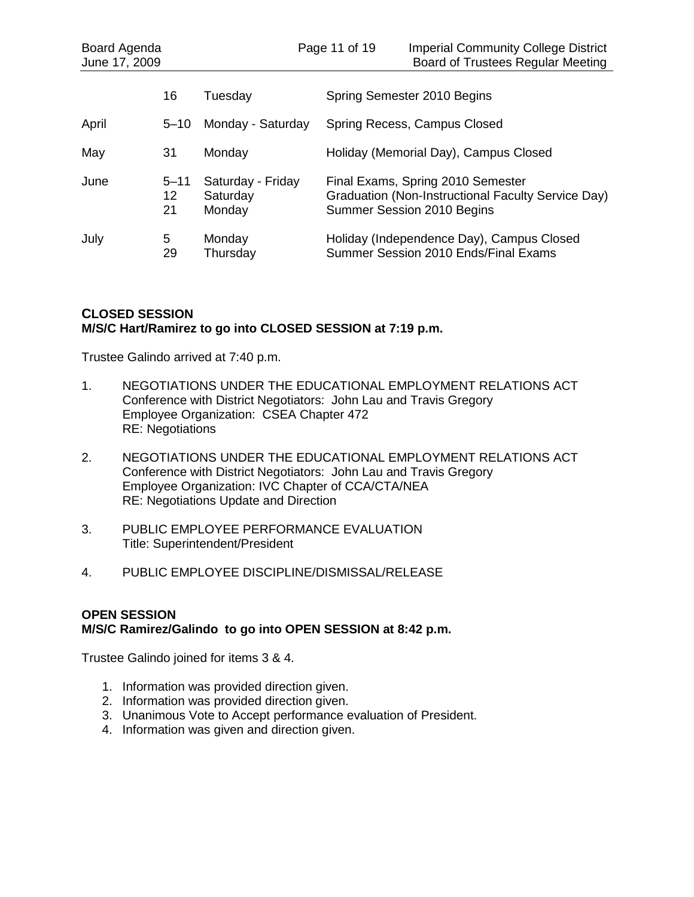| Board Agenda<br>June 17, 2009 |                      |                                         | Page 11 of 19 | <b>Imperial Community College District</b><br><b>Board of Trustees Regular Meeting</b>                                |
|-------------------------------|----------------------|-----------------------------------------|---------------|-----------------------------------------------------------------------------------------------------------------------|
|                               | 16                   | Tuesday                                 |               | Spring Semester 2010 Begins                                                                                           |
| April                         | $5 - 10$             | Monday - Saturday                       |               | Spring Recess, Campus Closed                                                                                          |
| May                           | 31                   | Monday                                  |               | Holiday (Memorial Day), Campus Closed                                                                                 |
| June                          | $5 - 11$<br>12<br>21 | Saturday - Friday<br>Saturday<br>Monday |               | Final Exams, Spring 2010 Semester<br>Graduation (Non-Instructional Faculty Service Day)<br>Summer Session 2010 Begins |
| July                          | 5<br>29              | Monday<br>Thursday                      |               | Holiday (Independence Day), Campus Closed<br>Summer Session 2010 Ends/Final Exams                                     |

# **CLOSED SESSION M/S/C Hart/Ramirez to go into CLOSED SESSION at 7:19 p.m.**

Trustee Galindo arrived at 7:40 p.m.

- 1. NEGOTIATIONS UNDER THE EDUCATIONAL EMPLOYMENT RELATIONS ACT Conference with District Negotiators: John Lau and Travis Gregory Employee Organization: CSEA Chapter 472 RE: Negotiations
- 2. NEGOTIATIONS UNDER THE EDUCATIONAL EMPLOYMENT RELATIONS ACT Conference with District Negotiators: John Lau and Travis Gregory Employee Organization: IVC Chapter of CCA/CTA/NEA RE: Negotiations Update and Direction
- 3. PUBLIC EMPLOYEE PERFORMANCE EVALUATION Title: Superintendent/President
- 4. PUBLIC EMPLOYEE DISCIPLINE/DISMISSAL/RELEASE

# **OPEN SESSION M/S/C Ramirez/Galindo to go into OPEN SESSION at 8:42 p.m.**

Trustee Galindo joined for items 3 & 4.

- 1. Information was provided direction given.
- 2. Information was provided direction given.
- 3. Unanimous Vote to Accept performance evaluation of President.
- 4. Information was given and direction given.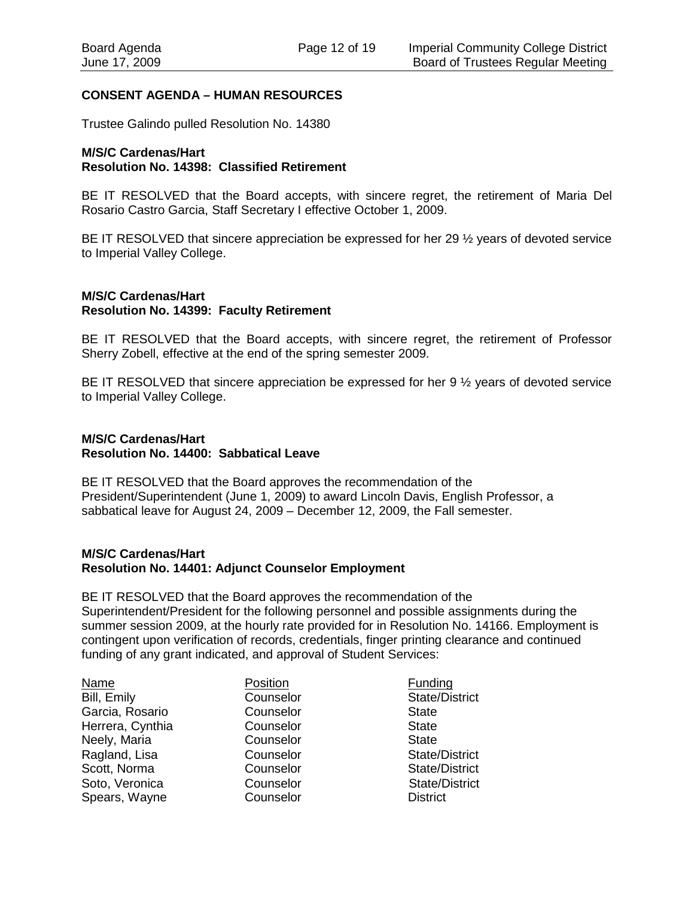# **CONSENT AGENDA – HUMAN RESOURCES**

Trustee Galindo pulled Resolution No. 14380

### **M/S/C Cardenas/Hart Resolution No. 14398: Classified Retirement**

BE IT RESOLVED that the Board accepts, with sincere regret, the retirement of Maria Del Rosario Castro Garcia, Staff Secretary I effective October 1, 2009.

BE IT RESOLVED that sincere appreciation be expressed for her 29 ½ years of devoted service to Imperial Valley College.

#### **M/S/C Cardenas/Hart Resolution No. 14399: Faculty Retirement**

BE IT RESOLVED that the Board accepts, with sincere regret, the retirement of Professor Sherry Zobell, effective at the end of the spring semester 2009.

BE IT RESOLVED that sincere appreciation be expressed for her 9 ½ years of devoted service to Imperial Valley College.

### **M/S/C Cardenas/Hart Resolution No. 14400: Sabbatical Leave**

BE IT RESOLVED that the Board approves the recommendation of the President/Superintendent (June 1, 2009) to award Lincoln Davis, English Professor, a sabbatical leave for August 24, 2009 – December 12, 2009, the Fall semester.

#### **M/S/C Cardenas/Hart Resolution No. 14401: Adjunct Counselor Employment**

BE IT RESOLVED that the Board approves the recommendation of the Superintendent/President for the following personnel and possible assignments during the summer session 2009, at the hourly rate provided for in Resolution No. 14166. Employment is contingent upon verification of records, credentials, finger printing clearance and continued funding of any grant indicated, and approval of Student Services:

| Name             | Position  | Funding               |
|------------------|-----------|-----------------------|
| Bill, Emily      | Counselor | <b>State/District</b> |
| Garcia, Rosario  | Counselor | <b>State</b>          |
| Herrera, Cynthia | Counselor | <b>State</b>          |
| Neely, Maria     | Counselor | <b>State</b>          |
| Ragland, Lisa    | Counselor | State/District        |
| Scott, Norma     | Counselor | <b>State/District</b> |
| Soto, Veronica   | Counselor | <b>State/District</b> |
| Spears, Wayne    | Counselor | <b>District</b>       |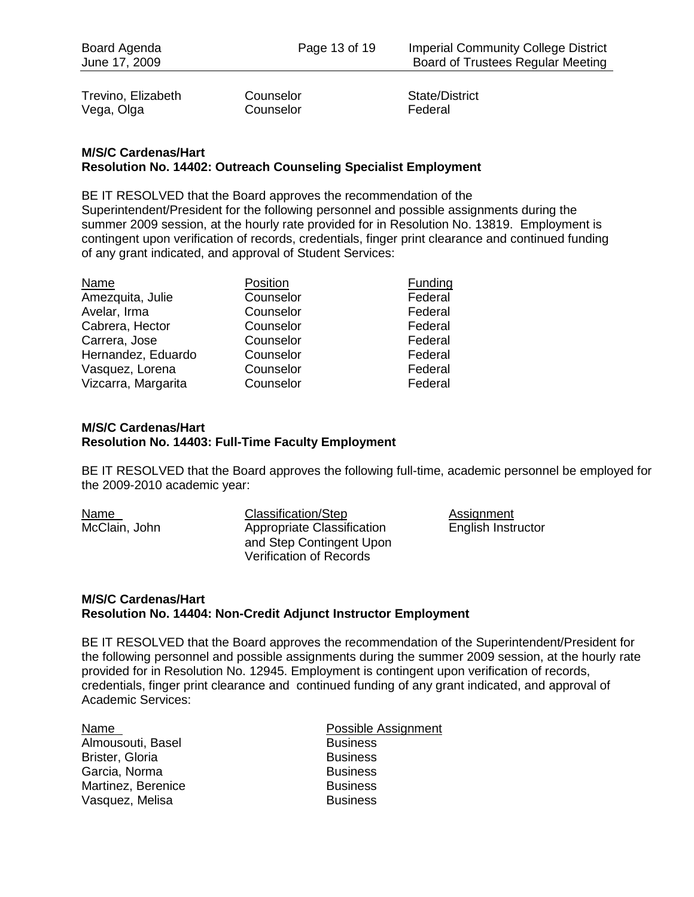Trevino, Elizabeth Counselor Counselor State/District<br>
Vega. Olga Counselor Counselor Federal Vega, Olga

# **M/S/C Cardenas/Hart Resolution No. 14402: Outreach Counseling Specialist Employment**

BE IT RESOLVED that the Board approves the recommendation of the Superintendent/President for the following personnel and possible assignments during the summer 2009 session, at the hourly rate provided for in Resolution No. 13819. Employment is contingent upon verification of records, credentials, finger print clearance and continued funding of any grant indicated, and approval of Student Services:

| Name                | Position  | Funding |
|---------------------|-----------|---------|
| Amezquita, Julie    | Counselor | Federal |
| Avelar, Irma        | Counselor | Federal |
| Cabrera, Hector     | Counselor | Federal |
| Carrera, Jose       | Counselor | Federal |
| Hernandez, Eduardo  | Counselor | Federal |
| Vasquez, Lorena     | Counselor | Federal |
| Vizcarra, Margarita | Counselor | Federal |

# **M/S/C Cardenas/Hart Resolution No. 14403: Full-Time Faculty Employment**

BE IT RESOLVED that the Board approves the following full-time, academic personnel be employed for the 2009-2010 academic year:

Name Classification/Step Assignment McClain, John Appropriate Classification English Instructor and Step Contingent Upon Verification of Records

### **M/S/C Cardenas/Hart Resolution No. 14404: Non-Credit Adjunct Instructor Employment**

BE IT RESOLVED that the Board approves the recommendation of the Superintendent/President for the following personnel and possible assignments during the summer 2009 session, at the hourly rate provided for in Resolution No. 12945. Employment is contingent upon verification of records, credentials, finger print clearance and continued funding of any grant indicated, and approval of Academic Services:

| Name                   |
|------------------------|
| Almousouti, Basel      |
| <b>Brister, Gloria</b> |
| Garcia, Norma          |
| Martinez, Berenice     |
| Vasquez, Melisa        |

Possible Assignment **Business Business Business Business Business**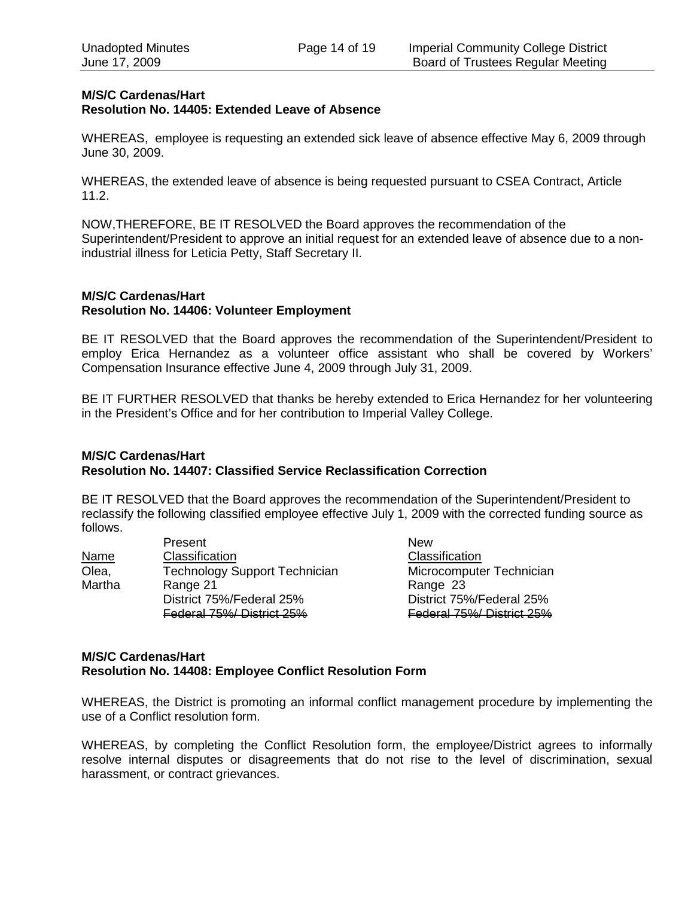# **M/S/C Cardenas/Hart Resolution No. 14405: Extended Leave of Absence**

WHEREAS, employee is requesting an extended sick leave of absence effective May 6, 2009 through June 30, 2009.

WHEREAS, the extended leave of absence is being requested pursuant to CSEA Contract, Article 11.2.

NOW,THEREFORE, BE IT RESOLVED the Board approves the recommendation of the Superintendent/President to approve an initial request for an extended leave of absence due to a nonindustrial illness for Leticia Petty, Staff Secretary II.

#### **M/S/C Cardenas/Hart Resolution No. 14406: Volunteer Employment**

BE IT RESOLVED that the Board approves the recommendation of the Superintendent/President to employ Erica Hernandez as a volunteer office assistant who shall be covered by Workers' Compensation Insurance effective June 4, 2009 through July 31, 2009.

BE IT FURTHER RESOLVED that thanks be hereby extended to Erica Hernandez for her volunteering in the President's Office and for her contribution to Imperial Valley College.

# **M/S/C Cardenas/Hart Resolution No. 14407: Classified Service Reclassification Correction**

BE IT RESOLVED that the Board approves the recommendation of the Superintendent/President to reclassify the following classified employee effective July 1, 2009 with the corrected funding source as follows.

|             | Present                              | <b>New</b>                |
|-------------|--------------------------------------|---------------------------|
| <b>Name</b> | Classification                       | Classification            |
| Olea,       | <b>Technology Support Technician</b> | Microcomputer Technician  |
| Martha      | Range 21                             | Range 23                  |
|             | District 75%/Federal 25%             | District 75%/Federal 25%  |
|             | Federal 75%/ District 25%            | Federal 75%/ District 25% |

# **M/S/C Cardenas/Hart Resolution No. 14408: Employee Conflict Resolution Form**

WHEREAS, the District is promoting an informal conflict management procedure by implementing the use of a Conflict resolution form.

WHEREAS, by completing the Conflict Resolution form, the employee/District agrees to informally resolve internal disputes or disagreements that do not rise to the level of discrimination, sexual harassment, or contract grievances.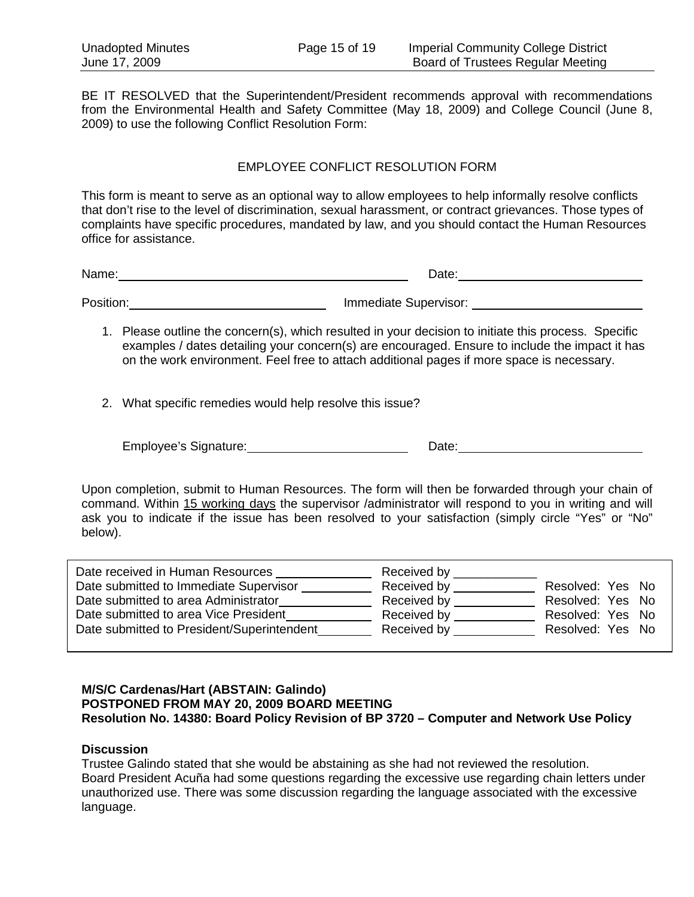BE IT RESOLVED that the Superintendent/President recommends approval with recommendations from the Environmental Health and Safety Committee (May 18, 2009) and College Council (June 8, 2009) to use the following Conflict Resolution Form:

# EMPLOYEE CONFLICT RESOLUTION FORM

This form is meant to serve as an optional way to allow employees to help informally resolve conflicts that don't rise to the level of discrimination, sexual harassment, or contract grievances. Those types of complaints have specific procedures, mandated by law, and you should contact the Human Resources office for assistance.

Name: Date: Position: Immediate Supervisor:

- 1. Please outline the concern(s), which resulted in your decision to initiate this process. Specific examples / dates detailing your concern(s) are encouraged. Ensure to include the impact it has on the work environment. Feel free to attach additional pages if more space is necessary.
- 2. What specific remedies would help resolve this issue?

Employee's Signature: Date:

Upon completion, submit to Human Resources. The form will then be forwarded through your chain of command. Within 15 working days the supervisor /administrator will respond to you in writing and will ask you to indicate if the issue has been resolved to your satisfaction (simply circle "Yes" or "No" below).

| Date received in Human Resources           | Received by    |                  |
|--------------------------------------------|----------------|------------------|
| Date submitted to Immediate Supervisor     | Received by    | Resolved: Yes No |
| Date submitted to area Administrator       | Received by    | Resolved: Yes No |
| Date submitted to area Vice President      | Received by    | Resolved: Yes No |
| Date submitted to President/Superintendent | Received by __ | Resolved: Yes No |
|                                            |                |                  |

### **M/S/C Cardenas/Hart (ABSTAIN: Galindo) POSTPONED FROM MAY 20, 2009 BOARD MEETING Resolution No. 14380: Board Policy Revision of BP 3720 – Computer and Network Use Policy**

#### **Discussion**

Trustee Galindo stated that she would be abstaining as she had not reviewed the resolution. Board President Acuña had some questions regarding the excessive use regarding chain letters under unauthorized use. There was some discussion regarding the language associated with the excessive language.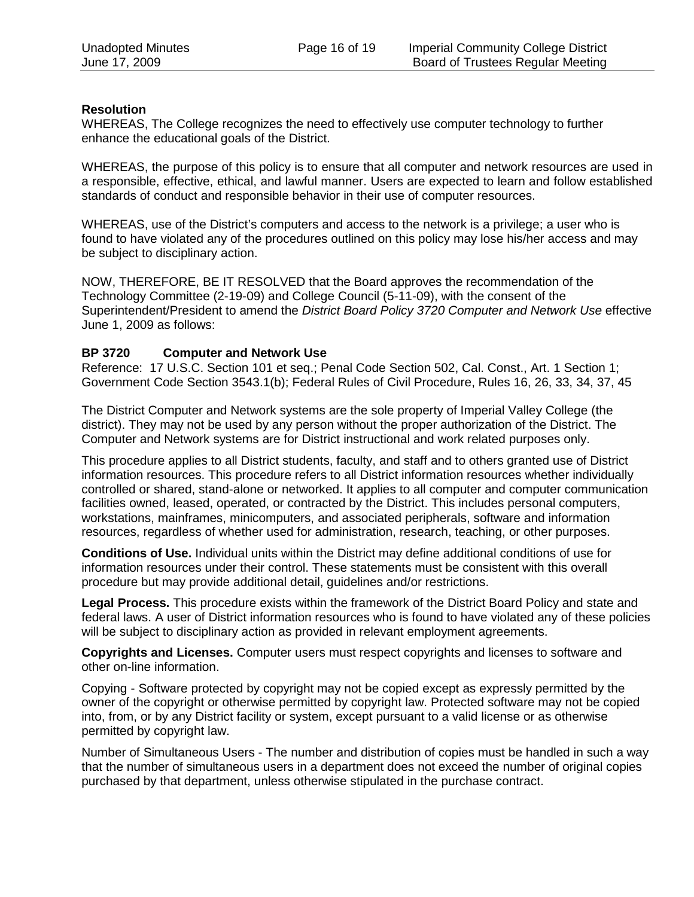### **Resolution**

WHEREAS, The College recognizes the need to effectively use computer technology to further enhance the educational goals of the District.

WHEREAS, the purpose of this policy is to ensure that all computer and network resources are used in a responsible, effective, ethical, and lawful manner. Users are expected to learn and follow established standards of conduct and responsible behavior in their use of computer resources.

WHEREAS, use of the District's computers and access to the network is a privilege; a user who is found to have violated any of the procedures outlined on this policy may lose his/her access and may be subject to disciplinary action.

NOW, THEREFORE, BE IT RESOLVED that the Board approves the recommendation of the Technology Committee (2-19-09) and College Council (5-11-09), with the consent of the Superintendent/President to amend the *District Board Policy 3720 Computer and Network Use* effective June 1, 2009 as follows:

### **BP 3720 Computer and Network Use**

Reference: 17 U.S.C. Section 101 et seq.; Penal Code Section 502, Cal. Const., Art. 1 Section 1; Government Code Section 3543.1(b); Federal Rules of Civil Procedure, Rules 16, 26, 33, 34, 37, 45

The District Computer and Network systems are the sole property of Imperial Valley College (the district). They may not be used by any person without the proper authorization of the District. The Computer and Network systems are for District instructional and work related purposes only.

This procedure applies to all District students, faculty, and staff and to others granted use of District information resources. This procedure refers to all District information resources whether individually controlled or shared, stand-alone or networked. It applies to all computer and computer communication facilities owned, leased, operated, or contracted by the District. This includes personal computers, workstations, mainframes, minicomputers, and associated peripherals, software and information resources, regardless of whether used for administration, research, teaching, or other purposes.

**Conditions of Use.** Individual units within the District may define additional conditions of use for information resources under their control. These statements must be consistent with this overall procedure but may provide additional detail, guidelines and/or restrictions.

**Legal Process.** This procedure exists within the framework of the District Board Policy and state and federal laws. A user of District information resources who is found to have violated any of these policies will be subject to disciplinary action as provided in relevant employment agreements.

**Copyrights and Licenses.** Computer users must respect copyrights and licenses to software and other on-line information.

Copying - Software protected by copyright may not be copied except as expressly permitted by the owner of the copyright or otherwise permitted by copyright law. Protected software may not be copied into, from, or by any District facility or system, except pursuant to a valid license or as otherwise permitted by copyright law.

Number of Simultaneous Users - The number and distribution of copies must be handled in such a way that the number of simultaneous users in a department does not exceed the number of original copies purchased by that department, unless otherwise stipulated in the purchase contract.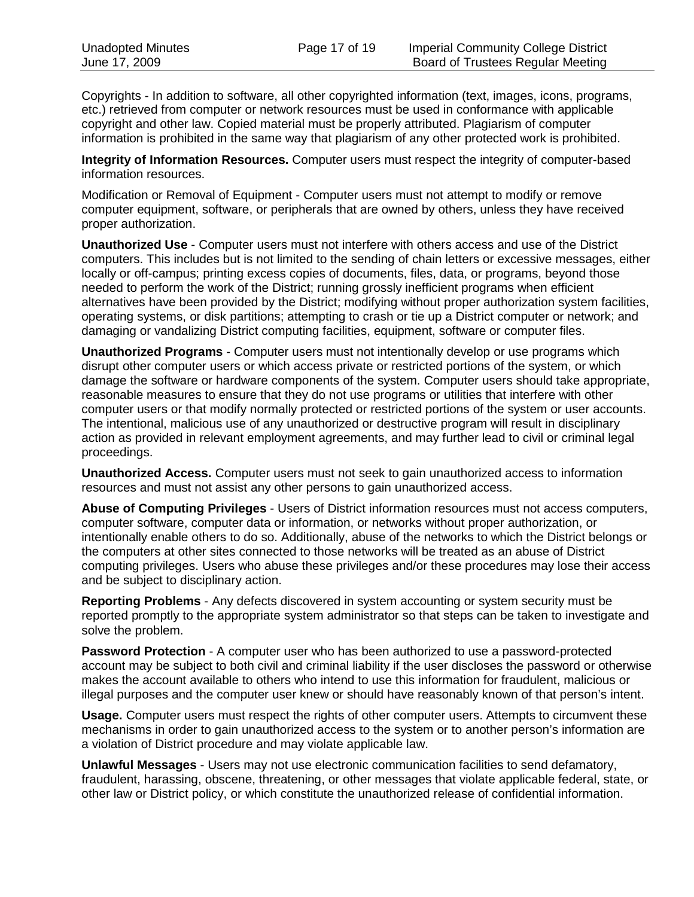Copyrights - In addition to software, all other copyrighted information (text, images, icons, programs, etc.) retrieved from computer or network resources must be used in conformance with applicable copyright and other law. Copied material must be properly attributed. Plagiarism of computer information is prohibited in the same way that plagiarism of any other protected work is prohibited.

**Integrity of Information Resources.** Computer users must respect the integrity of computer-based information resources.

Modification or Removal of Equipment - Computer users must not attempt to modify or remove computer equipment, software, or peripherals that are owned by others, unless they have received proper authorization.

**Unauthorized Use** - Computer users must not interfere with others access and use of the District computers. This includes but is not limited to the sending of chain letters or excessive messages, either locally or off-campus; printing excess copies of documents, files, data, or programs, beyond those needed to perform the work of the District; running grossly inefficient programs when efficient alternatives have been provided by the District; modifying without proper authorization system facilities, operating systems, or disk partitions; attempting to crash or tie up a District computer or network; and damaging or vandalizing District computing facilities, equipment, software or computer files.

**Unauthorized Programs** - Computer users must not intentionally develop or use programs which disrupt other computer users or which access private or restricted portions of the system, or which damage the software or hardware components of the system. Computer users should take appropriate, reasonable measures to ensure that they do not use programs or utilities that interfere with other computer users or that modify normally protected or restricted portions of the system or user accounts. The intentional, malicious use of any unauthorized or destructive program will result in disciplinary action as provided in relevant employment agreements, and may further lead to civil or criminal legal proceedings.

**Unauthorized Access.** Computer users must not seek to gain unauthorized access to information resources and must not assist any other persons to gain unauthorized access.

**Abuse of Computing Privileges** - Users of District information resources must not access computers, computer software, computer data or information, or networks without proper authorization, or intentionally enable others to do so. Additionally, abuse of the networks to which the District belongs or the computers at other sites connected to those networks will be treated as an abuse of District computing privileges. Users who abuse these privileges and/or these procedures may lose their access and be subject to disciplinary action.

**Reporting Problems** - Any defects discovered in system accounting or system security must be reported promptly to the appropriate system administrator so that steps can be taken to investigate and solve the problem.

**Password Protection** - A computer user who has been authorized to use a password-protected account may be subject to both civil and criminal liability if the user discloses the password or otherwise makes the account available to others who intend to use this information for fraudulent, malicious or illegal purposes and the computer user knew or should have reasonably known of that person's intent.

**Usage.** Computer users must respect the rights of other computer users. Attempts to circumvent these mechanisms in order to gain unauthorized access to the system or to another person's information are a violation of District procedure and may violate applicable law.

**Unlawful Messages** - Users may not use electronic communication facilities to send defamatory, fraudulent, harassing, obscene, threatening, or other messages that violate applicable federal, state, or other law or District policy, or which constitute the unauthorized release of confidential information.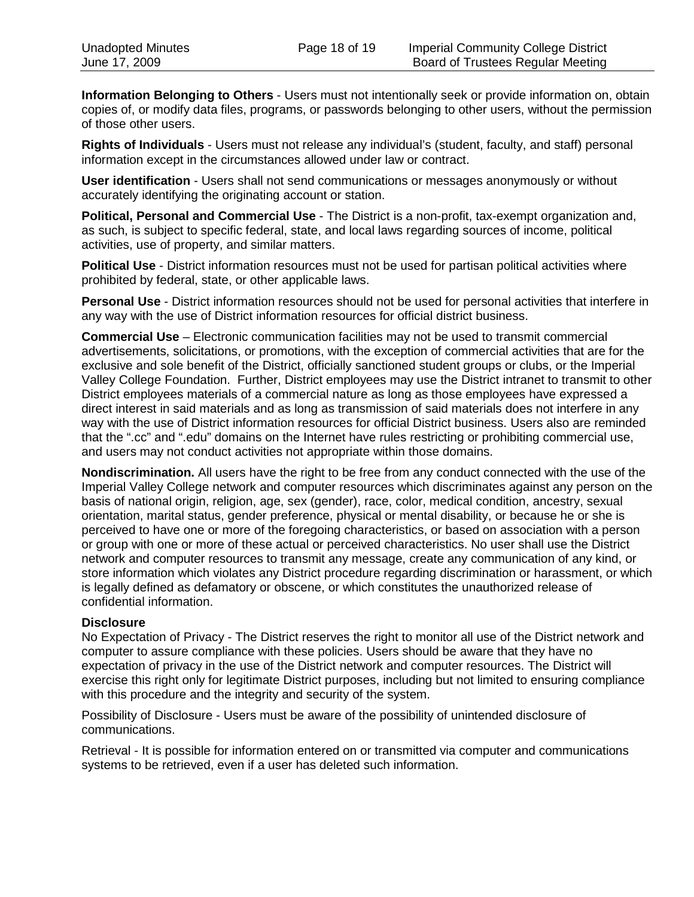**Information Belonging to Others** - Users must not intentionally seek or provide information on, obtain copies of, or modify data files, programs, or passwords belonging to other users, without the permission of those other users.

**Rights of Individuals** - Users must not release any individual's (student, faculty, and staff) personal information except in the circumstances allowed under law or contract.

**User identification** - Users shall not send communications or messages anonymously or without accurately identifying the originating account or station.

**Political, Personal and Commercial Use** - The District is a non-profit, tax-exempt organization and, as such, is subject to specific federal, state, and local laws regarding sources of income, political activities, use of property, and similar matters.

**Political Use** - District information resources must not be used for partisan political activities where prohibited by federal, state, or other applicable laws.

**Personal Use** - District information resources should not be used for personal activities that interfere in any way with the use of District information resources for official district business.

**Commercial Use** – Electronic communication facilities may not be used to transmit commercial advertisements, solicitations, or promotions, with the exception of commercial activities that are for the exclusive and sole benefit of the District, officially sanctioned student groups or clubs, or the Imperial Valley College Foundation. Further, District employees may use the District intranet to transmit to other District employees materials of a commercial nature as long as those employees have expressed a direct interest in said materials and as long as transmission of said materials does not interfere in any way with the use of District information resources for official District business. Users also are reminded that the ".cc" and ".edu" domains on the Internet have rules restricting or prohibiting commercial use, and users may not conduct activities not appropriate within those domains.

**Nondiscrimination.** All users have the right to be free from any conduct connected with the use of the Imperial Valley College network and computer resources which discriminates against any person on the basis of national origin, religion, age, sex (gender), race, color, medical condition, ancestry, sexual orientation, marital status, gender preference, physical or mental disability, or because he or she is perceived to have one or more of the foregoing characteristics, or based on association with a person or group with one or more of these actual or perceived characteristics. No user shall use the District network and computer resources to transmit any message, create any communication of any kind, or store information which violates any District procedure regarding discrimination or harassment, or which is legally defined as defamatory or obscene, or which constitutes the unauthorized release of confidential information.

# **Disclosure**

No Expectation of Privacy - The District reserves the right to monitor all use of the District network and computer to assure compliance with these policies. Users should be aware that they have no expectation of privacy in the use of the District network and computer resources. The District will exercise this right only for legitimate District purposes, including but not limited to ensuring compliance with this procedure and the integrity and security of the system.

Possibility of Disclosure - Users must be aware of the possibility of unintended disclosure of communications.

Retrieval - It is possible for information entered on or transmitted via computer and communications systems to be retrieved, even if a user has deleted such information.